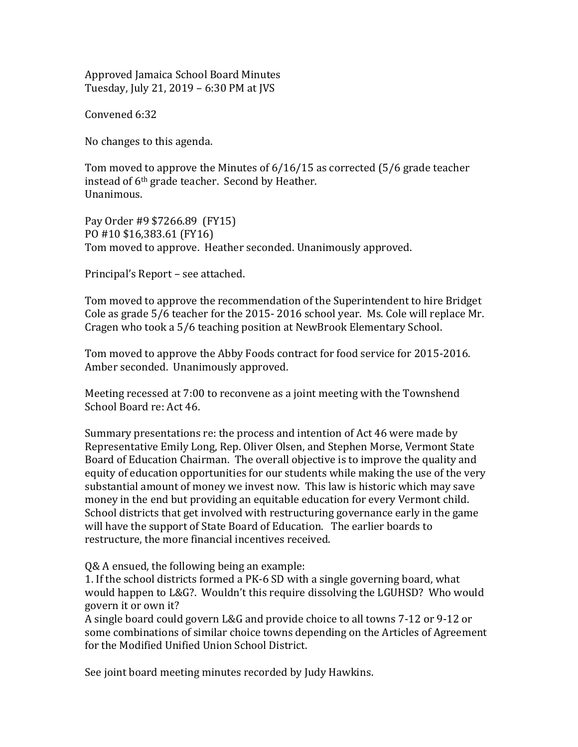Approved Jamaica School Board Minutes Tuesday, July 21, 2019 – 6:30 PM at JVS

Convened 6:32

No changes to this agenda.

Tom moved to approve the Minutes of 6/16/15 as corrected (5/6 grade teacher instead of 6<sup>th</sup> grade teacher. Second by Heather. Unanimous.

Pay Order #9 \$7266.89 (FY15) PO #10 \$16,383.61 (FY16) Tom moved to approve. Heather seconded. Unanimously approved.

Principal's Report – see attached.

Tom moved to approve the recommendation of the Superintendent to hire Bridget Cole as grade 5/6 teacher for the 2015- 2016 school year. Ms. Cole will replace Mr. Cragen who took a 5/6 teaching position at NewBrook Elementary School.

Tom moved to approve the Abby Foods contract for food service for 2015-2016. Amber seconded. Unanimously approved.

Meeting recessed at 7:00 to reconvene as a joint meeting with the Townshend School Board re: Act 46.

Summary presentations re: the process and intention of Act 46 were made by Representative Emily Long, Rep. Oliver Olsen, and Stephen Morse, Vermont State Board of Education Chairman. The overall objective is to improve the quality and equity of education opportunities for our students while making the use of the very substantial amount of money we invest now. This law is historic which may save money in the end but providing an equitable education for every Vermont child. School districts that get involved with restructuring governance early in the game will have the support of State Board of Education. The earlier boards to restructure, the more financial incentives received.

Q& A ensued, the following being an example:

1. If the school districts formed a PK-6 SD with a single governing board, what would happen to L&G?. Wouldn't this require dissolving the LGUHSD? Who would govern it or own it?

A single board could govern L&G and provide choice to all towns 7-12 or 9-12 or some combinations of similar choice towns depending on the Articles of Agreement for the Modified Unified Union School District.

See joint board meeting minutes recorded by Judy Hawkins.